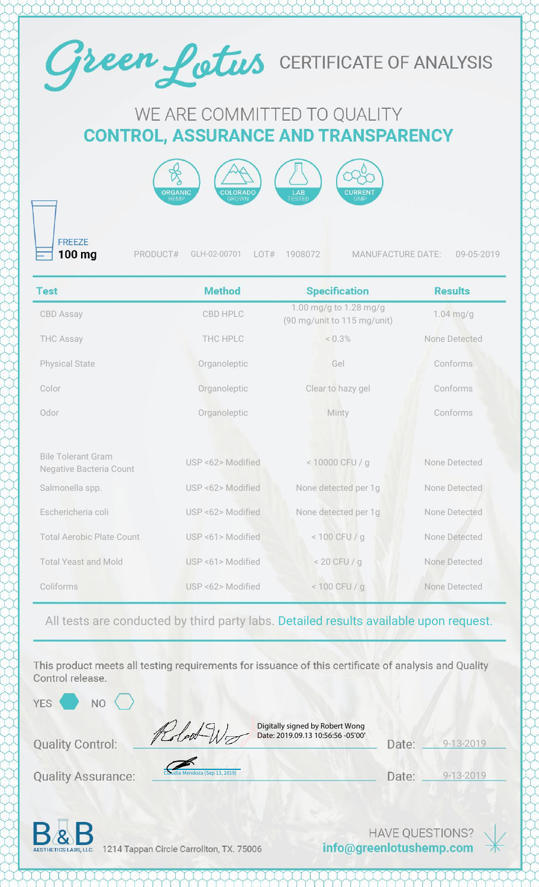

## WE ARE COMMITTED TO QUALITY **CONTROL, ASSURANCE AND TRANSPARENCY**



**FREEZE** 100 mg

PRODUCT# GLH-02-00701 LOT# 1908072 MANUFACTURE DATE: 09-05-2019

| <b>Test</b>                                          | <b>Method</b>     | <b>Specification</b>                                  | <b>Results</b> |
|------------------------------------------------------|-------------------|-------------------------------------------------------|----------------|
| <b>CBD Assay</b>                                     | <b>CBD HPLC</b>   | 1.00 mg/g to 1.28 mg/g<br>(90 mg/unit to 115 mg/unit) | $1.04$ mg/g    |
| <b>THC Assay</b>                                     | THC HPLC          | < 0.3%                                                | None Detected  |
| <b>Physical State</b>                                | Organoleptic      | Gel                                                   | Conforms       |
| Color                                                | Organoleptic      | Clear to hazy gel                                     | Conforms       |
| Odor                                                 | Organoleptic      | Minty                                                 | Conforms       |
|                                                      |                   |                                                       |                |
| <b>Bile Tolerant Gram</b><br>Negative Bacteria Count | USP <62> Modified | < 10000 CFU / g                                       | None Detected  |
| Salmonella spp.                                      | USP <62> Modified | None detected per 1g                                  | None Detected  |
| Eschericheria coli                                   | USP <62> Modified | None detected per 1g                                  | None Detected  |
| <b>Total Aerobic Plate Count</b>                     | USP <61> Modified | $< 100$ CFU / g                                       | None Detected  |
| <b>Total Yeast and Mold</b>                          | USP <61> Modified | $< 20$ CFU / g                                        | None Detected  |
| Coliforms                                            | USP <62> Modified | $< 100$ CFU / g                                       | None Detected  |

All tests are conducted by third party labs. Detailed results available upon request.

This product meets all testing requirements for issuance of this certificate of analysis and Quality Control release.

YES<sup></sup>

 $NO<$ 

**Quality Control:** 

**Quality Assurance:** 

| Claudia Mendoza (Sep 13, 2019) |  |  |  |
|--------------------------------|--|--|--|

Digitally signed by Robert Wong Date: 2019.09.13 10:56:56 -05'00'

| Date: | $9 - 13 - 2019$ |
|-------|-----------------|
|       |                 |

Date: 9-13-2019



1214 Tappan Circle Carrollton, TX. 75006

**HAVE QUESTIONS?** info@greenlotushemp.com